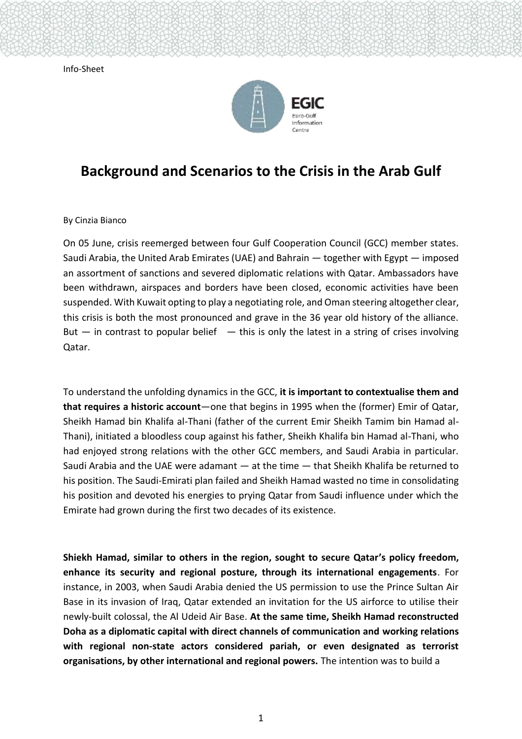Info-Sheet



## **Background and Scenarios to the Crisis in the Arab Gulf**

By Cinzia Bianco

On 05 June, crisis reemerged between four Gulf Cooperation Council (GCC) member states. Saudi Arabia, the United Arab Emirates (UAE) and Bahrain  $-$  together with Egypt  $-$  imposed an assortment of sanctions and severed diplomatic relations with Qatar. Ambassadors have been withdrawn, airspaces and borders have been closed, economic activities have been suspended. With Kuwait opting to play a negotiating role, and Oman steering altogether clear, this crisis is both the most pronounced and grave in the 36 year old history of the alliance. But  $-$  in contrast to popular belief  $-$  this is only the latest in a string of crises involving Qatar.

To understand the unfolding dynamics in the GCC, **it is important to contextualise them and that requires a historic account**—one that begins in 1995 when the (former) Emir of Qatar, Sheikh Hamad bin Khalifa al-Thani (father of the current Emir Sheikh Tamim bin Hamad al-Thani), initiated a bloodless coup against his father, Sheikh Khalifa bin Hamad al-Thani, who had enjoyed strong relations with the other GCC members, and Saudi Arabia in particular. Saudi Arabia and the UAE were adamant — at the time — that Sheikh Khalifa be returned to his position. The Saudi-Emirati plan failed and Sheikh Hamad wasted no time in consolidating his position and devoted his energies to prying Qatar from Saudi influence under which the Emirate had grown during the first two decades of its existence.

**Shiekh Hamad, similar to others in the region, sought to secure Qatar's policy freedom, enhance its security and regional posture, through its international engagements**. For instance, in 2003, when Saudi Arabia denied the US permission to use the Prince Sultan Air Base in its invasion of Iraq, Qatar extended an invitation for the US airforce to utilise their newly-built colossal, the Al Udeid Air Base. **At the same time, Sheikh Hamad reconstructed Doha as a diplomatic capital with direct channels of communication and working relations with regional non-state actors considered pariah, or even designated as terrorist organisations, by other international and regional powers.** The intention was to build a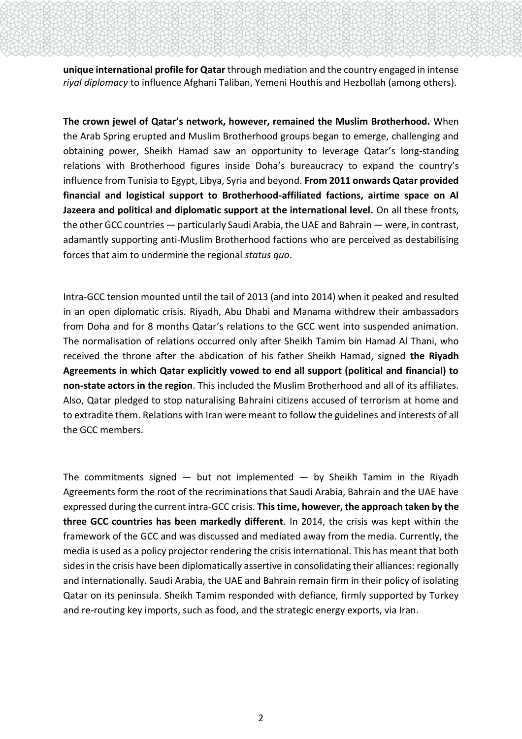**unique international profile for Qatar** through mediation and the country engaged in intense *riyal diplomacy* to influence Afghani Taliban, Yemeni Houthis and Hezbollah (among others).

**The crown jewel of Qatar's network, however, remained the Muslim Brotherhood.** When the Arab Spring erupted and Muslim Brotherhood groups began to emerge, challenging and obtaining power, Sheikh Hamad saw an opportunity to leverage Qatar's long-standing relations with Brotherhood figures inside Doha's bureaucracy to expand the country's influence from Tunisia to Egypt, Libya, Syria and beyond. **From 2011 onwards Qatar provided financial and logistical support to Brotherhood-affiliated factions, airtime space on Al Jazeera and political and diplomatic support at the international level.** On all these fronts, the other GCC countries — particularly Saudi Arabia, the UAE and Bahrain — were, in contrast, adamantly supporting anti-Muslim Brotherhood factions who are perceived as destabilising forces that aim to undermine the regional *status quo*.

Intra-GCC tension mounted until the tail of 2013 (and into 2014) when it peaked and resulted in an open diplomatic crisis. Riyadh, Abu Dhabi and Manama withdrew their ambassadors from Doha and for 8 months Qatar's relations to the GCC went into suspended animation. The normalisation of relations occurred only after Sheikh Tamim bin Hamad Al Thani, who received the throne after the abdication of his father Sheikh Hamad, signed **the Riyadh Agreements in which Qatar explicitly vowed to end all support (political and financial) to non-state actors in the region**. This included the Muslim Brotherhood and all of its affiliates. Also, Qatar pledged to stop naturalising Bahraini citizens accused of terrorism at home and to extradite them. Relations with Iran were meant to follow the guidelines and interests of all the GCC members.

The commitments signed  $-$  but not implemented  $-$  by Sheikh Tamim in the Riyadh Agreements form the root of the recriminations that Saudi Arabia, Bahrain and the UAE have expressed during the current intra-GCC crisis. **This time, however, the approach taken by the three GCC countries has been markedly different**. In 2014, the crisis was kept within the framework of the GCC and was discussed and mediated away from the media. Currently, the media is used as a policy projector rendering the crisis international. This has meant that both sides in the crisis have been diplomatically assertive in consolidating their alliances: regionally and internationally. Saudi Arabia, the UAE and Bahrain remain firm in their policy of isolating Qatar on its peninsula. Sheikh Tamim responded with defiance, firmly supported by Turkey and re-routing key imports, such as food, and the strategic energy exports, via Iran.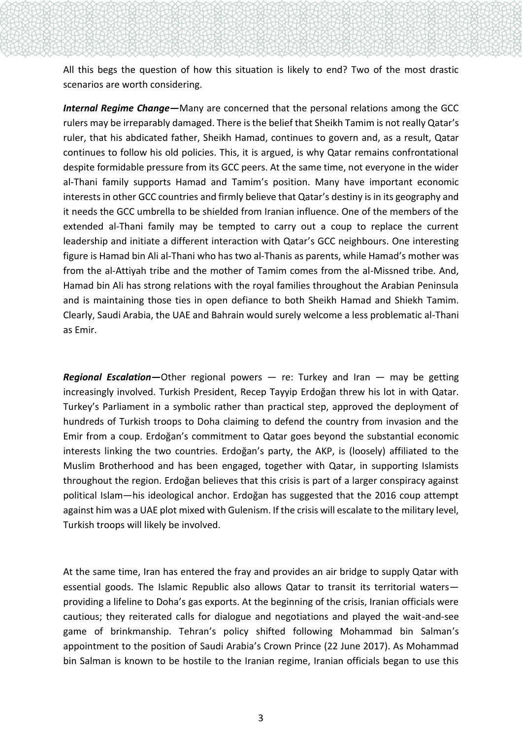All this begs the question of how this situation is likely to end? Two of the most drastic scenarios are worth considering.

*Internal Regime Change—*Many are concerned that the personal relations among the GCC rulers may be irreparably damaged. There is the belief that Sheikh Tamim is not really Qatar's ruler, that his abdicated father, Sheikh Hamad, continues to govern and, as a result, Qatar continues to follow his old policies. This, it is argued, is why Qatar remains confrontational despite formidable pressure from its GCC peers. At the same time, not everyone in the wider al-Thani family supports Hamad and Tamim's position. Many have important economic interests in other GCC countries and firmly believe that Qatar's destiny is in its geography and it needs the GCC umbrella to be shielded from Iranian influence. One of the members of the extended al-Thani family may be tempted to carry out a coup to replace the current leadership and initiate a different interaction with Qatar's GCC neighbours. One interesting figure is Hamad bin Ali al-Thani who has two al-Thanis as parents, while Hamad's mother was from the al-Attiyah tribe and the mother of Tamim comes from the al-Missned tribe. And, Hamad bin Ali has strong relations with the royal families throughout the Arabian Peninsula and is maintaining those ties in open defiance to both Sheikh Hamad and Shiekh Tamim. Clearly, Saudi Arabia, the UAE and Bahrain would surely welcome a less problematic al-Thani as Emir.

*Regional Escalation***—**Other regional powers — re: Turkey and Iran — may be getting increasingly involved. Turkish President, Recep Tayyip Erdoğan threw his lot in with Qatar. Turkey's Parliament in a symbolic rather than practical step, approved the deployment of hundreds of Turkish troops to Doha claiming to defend the country from invasion and the Emir from a coup. Erdoğan's commitment to Qatar goes beyond the substantial economic interests linking the two countries. Erdoğan's party, the AKP, is (loosely) affiliated to the Muslim Brotherhood and has been engaged, together with Qatar, in supporting Islamists throughout the region. Erdoğan believes that this crisis is part of a larger conspiracy against political Islam—his ideological anchor. Erdoğan has suggested that the 2016 coup attempt against him was a UAE plot mixed with Gulenism. If the crisis will escalate to the military level, Turkish troops will likely be involved.

At the same time, Iran has entered the fray and provides an air bridge to supply Qatar with essential goods. The Islamic Republic also allows Qatar to transit its territorial waters providing a lifeline to Doha's gas exports. At the beginning of the crisis, Iranian officials were cautious; they reiterated calls for dialogue and negotiations and played the wait-and-see game of brinkmanship. Tehran's policy shifted following Mohammad bin Salman's appointment to the position of Saudi Arabia's Crown Prince (22 June 2017). As Mohammad bin Salman is known to be hostile to the Iranian regime, Iranian officials began to use this